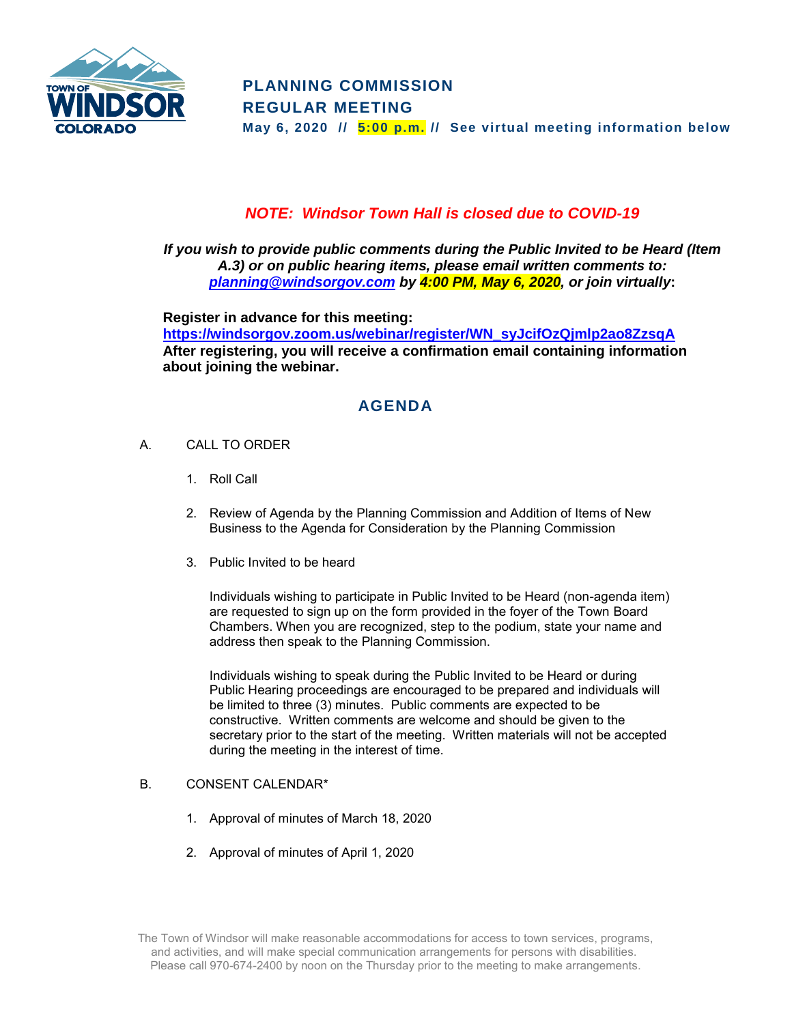

## *NOTE: Windsor Town Hall is closed due to COVID-19*

*If you wish to provide public comments during the Public Invited to be Heard (Item A.3) or on public hearing items, please email written comments to: [planning@windsorgov.com](mailto:planning@windsorgov.com) by 4:00 PM, May 6, 2020, or join virtually***:**

**Register in advance for this meeting: [https://windsorgov.zoom.us/webinar/register/WN\\_syJcifOzQjmlp2ao8ZzsqA](https://windsorgov.zoom.us/webinar/register/WN_syJcifOzQjmlp2ao8ZzsqA) After registering, you will receive a confirmation email containing information about joining the webinar.**

# **AGENDA**

- A. CALL TO ORDER
	- 1. Roll Call
	- 2. Review of Agenda by the Planning Commission and Addition of Items of New Business to the Agenda for Consideration by the Planning Commission
	- 3. Public Invited to be heard

Individuals wishing to participate in Public Invited to be Heard (non-agenda item) are requested to sign up on the form provided in the foyer of the Town Board Chambers. When you are recognized, step to the podium, state your name and address then speak to the Planning Commission.

Individuals wishing to speak during the Public Invited to be Heard or during Public Hearing proceedings are encouraged to be prepared and individuals will be limited to three (3) minutes. Public comments are expected to be constructive. Written comments are welcome and should be given to the secretary prior to the start of the meeting. Written materials will not be accepted during the meeting in the interest of time.

### B. CONSENT CALENDAR\*

- 1. Approval of minutes of March 18, 2020
- 2. Approval of minutes of April 1, 2020

The Town of Windsor will make reasonable accommodations for access to town services, programs, and activities, and will make special communication arrangements for persons with disabilities. Please call 970-674-2400 by noon on the Thursday prior to the meeting to make arrangements.